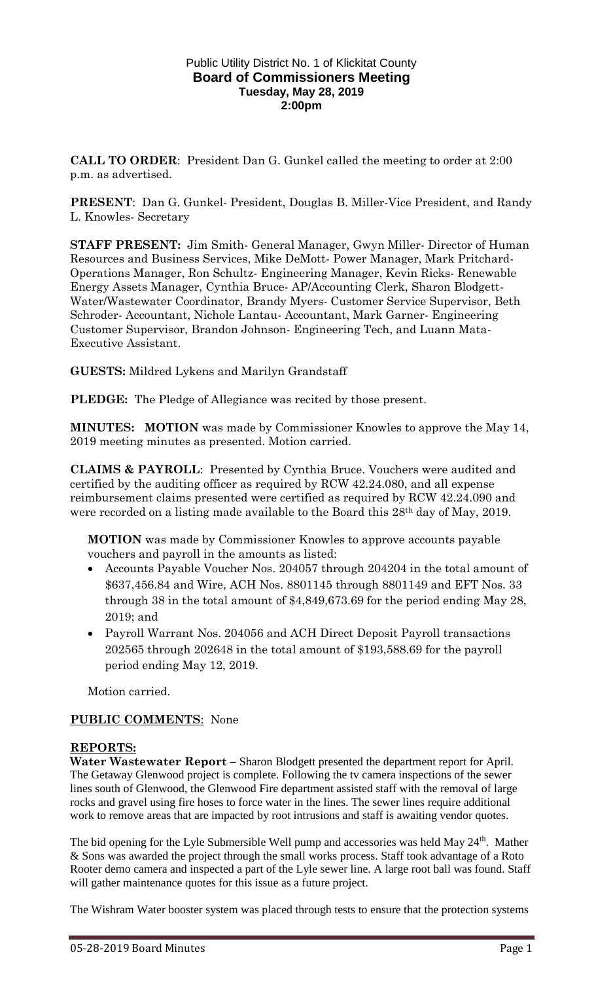#### Public Utility District No. 1 of Klickitat County **Board of Commissioners Meeting Tuesday, May 28, 2019 2:00pm**

**CALL TO ORDER**: President Dan G. Gunkel called the meeting to order at 2:00 p.m. as advertised.

**PRESENT**: Dan G. Gunkel- President, Douglas B. Miller-Vice President, and Randy L. Knowles- Secretary

**STAFF PRESENT:** Jim Smith- General Manager, Gwyn Miller- Director of Human Resources and Business Services, Mike DeMott- Power Manager, Mark Pritchard-Operations Manager, Ron Schultz- Engineering Manager, Kevin Ricks- Renewable Energy Assets Manager, Cynthia Bruce- AP/Accounting Clerk, Sharon Blodgett-Water/Wastewater Coordinator, Brandy Myers- Customer Service Supervisor, Beth Schroder- Accountant, Nichole Lantau- Accountant, Mark Garner- Engineering Customer Supervisor, Brandon Johnson- Engineering Tech, and Luann Mata-Executive Assistant.

### **GUESTS:** Mildred Lykens and Marilyn Grandstaff

**PLEDGE:** The Pledge of Allegiance was recited by those present.

**MINUTES: MOTION** was made by Commissioner Knowles to approve the May 14, 2019 meeting minutes as presented. Motion carried.

**CLAIMS & PAYROLL**: Presented by Cynthia Bruce. Vouchers were audited and certified by the auditing officer as required by RCW 42.24.080, and all expense reimbursement claims presented were certified as required by RCW 42.24.090 and were recorded on a listing made available to the Board this 28th day of May, 2019.

**MOTION** was made by Commissioner Knowles to approve accounts payable vouchers and payroll in the amounts as listed:

- Accounts Payable Voucher Nos. 204057 through 204204 in the total amount of \$637,456.84 and Wire, ACH Nos. 8801145 through 8801149 and EFT Nos. 33 through 38 in the total amount of \$4,849,673.69 for the period ending May 28, 2019; and
- Payroll Warrant Nos. 204056 and ACH Direct Deposit Payroll transactions 202565 through 202648 in the total amount of \$193,588.69 for the payroll period ending May 12, 2019.

Motion carried.

### **PUBLIC COMMENTS**: None

### **REPORTS:**

**Water Wastewater Report – Sharon Blodgett presented the department report for April.** The Getaway Glenwood project is complete. Following the tv camera inspections of the sewer lines south of Glenwood, the Glenwood Fire department assisted staff with the removal of large rocks and gravel using fire hoses to force water in the lines. The sewer lines require additional work to remove areas that are impacted by root intrusions and staff is awaiting vendor quotes.

The bid opening for the Lyle Submersible Well pump and accessories was held May 24<sup>th</sup>. Mather & Sons was awarded the project through the small works process. Staff took advantage of a Roto Rooter demo camera and inspected a part of the Lyle sewer line. A large root ball was found. Staff will gather maintenance quotes for this issue as a future project.

The Wishram Water booster system was placed through tests to ensure that the protection systems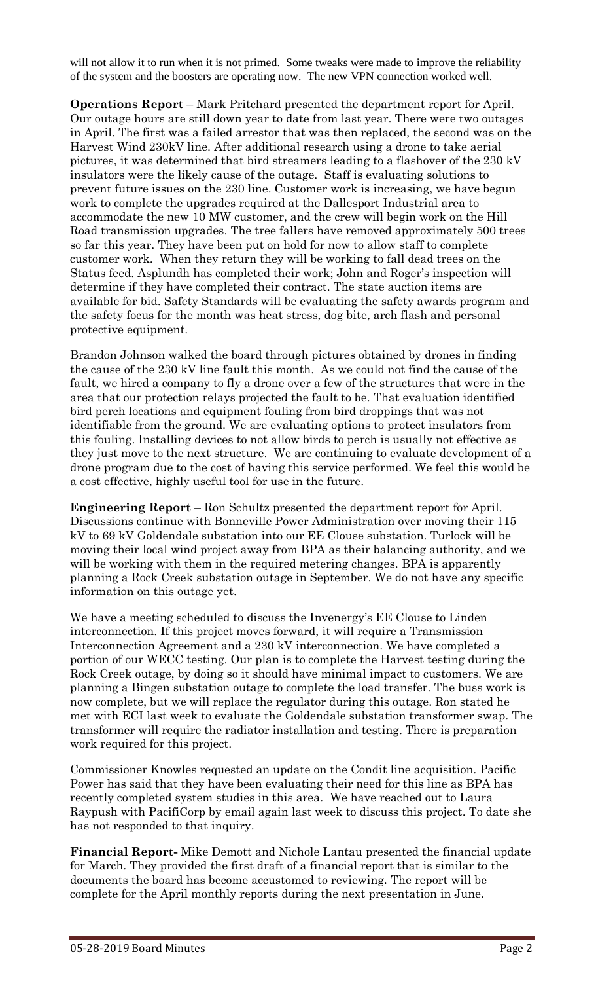will not allow it to run when it is not primed. Some tweaks were made to improve the reliability of the system and the boosters are operating now. The new VPN connection worked well.

**Operations Report** – Mark Pritchard presented the department report for April. Our outage hours are still down year to date from last year. There were two outages in April. The first was a failed arrestor that was then replaced, the second was on the Harvest Wind 230kV line. After additional research using a drone to take aerial pictures, it was determined that bird streamers leading to a flashover of the 230 kV insulators were the likely cause of the outage. Staff is evaluating solutions to prevent future issues on the 230 line. Customer work is increasing, we have begun work to complete the upgrades required at the Dallesport Industrial area to accommodate the new 10 MW customer, and the crew will begin work on the Hill Road transmission upgrades. The tree fallers have removed approximately 500 trees so far this year. They have been put on hold for now to allow staff to complete customer work. When they return they will be working to fall dead trees on the Status feed. Asplundh has completed their work; John and Roger's inspection will determine if they have completed their contract. The state auction items are available for bid. Safety Standards will be evaluating the safety awards program and the safety focus for the month was heat stress, dog bite, arch flash and personal protective equipment.

Brandon Johnson walked the board through pictures obtained by drones in finding the cause of the 230 kV line fault this month. As we could not find the cause of the fault, we hired a company to fly a drone over a few of the structures that were in the area that our protection relays projected the fault to be. That evaluation identified bird perch locations and equipment fouling from bird droppings that was not identifiable from the ground. We are evaluating options to protect insulators from this fouling. Installing devices to not allow birds to perch is usually not effective as they just move to the next structure. We are continuing to evaluate development of a drone program due to the cost of having this service performed. We feel this would be a cost effective, highly useful tool for use in the future.

**Engineering Report** – Ron Schultz presented the department report for April. Discussions continue with Bonneville Power Administration over moving their 115 kV to 69 kV Goldendale substation into our EE Clouse substation. Turlock will be moving their local wind project away from BPA as their balancing authority, and we will be working with them in the required metering changes. BPA is apparently planning a Rock Creek substation outage in September. We do not have any specific information on this outage yet.

We have a meeting scheduled to discuss the Invenergy's EE Clouse to Linden interconnection. If this project moves forward, it will require a Transmission Interconnection Agreement and a 230 kV interconnection. We have completed a portion of our WECC testing. Our plan is to complete the Harvest testing during the Rock Creek outage, by doing so it should have minimal impact to customers. We are planning a Bingen substation outage to complete the load transfer. The buss work is now complete, but we will replace the regulator during this outage. Ron stated he met with ECI last week to evaluate the Goldendale substation transformer swap. The transformer will require the radiator installation and testing. There is preparation work required for this project.

Commissioner Knowles requested an update on the Condit line acquisition. Pacific Power has said that they have been evaluating their need for this line as BPA has recently completed system studies in this area. We have reached out to Laura Raypush with PacifiCorp by email again last week to discuss this project. To date she has not responded to that inquiry.

**Financial Report-** Mike Demott and Nichole Lantau presented the financial update for March. They provided the first draft of a financial report that is similar to the documents the board has become accustomed to reviewing. The report will be complete for the April monthly reports during the next presentation in June.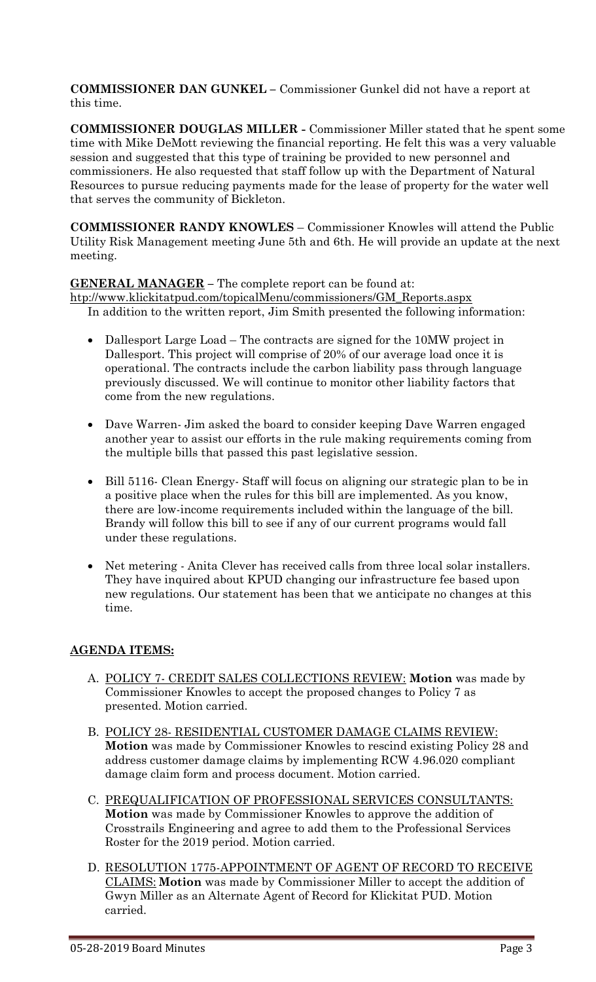**COMMISSIONER DAN GUNKEL –** Commissioner Gunkel did not have a report at this time.

**COMMISSIONER DOUGLAS MILLER -** Commissioner Miller stated that he spent some time with Mike DeMott reviewing the financial reporting. He felt this was a very valuable session and suggested that this type of training be provided to new personnel and commissioners. He also requested that staff follow up with the Department of Natural Resources to pursue reducing payments made for the lease of property for the water well that serves the community of Bickleton.

**COMMISSIONER RANDY KNOWLES** – Commissioner Knowles will attend the Public Utility Risk Management meeting June 5th and 6th. He will provide an update at the next meeting.

# **GENERAL MANAGER –** The complete report can be found at:

[htp://www.klickitatpud.com/topicalMenu/commissioners/GM\\_Reports.aspx](http://www.klickitatpud.com/topicalMenu/commissioners/GM_Reports.aspx) In addition to the written report, Jim Smith presented the following information:

- Dallesport Large Load The contracts are signed for the 10MW project in Dallesport. This project will comprise of 20% of our average load once it is operational. The contracts include the carbon liability pass through language previously discussed. We will continue to monitor other liability factors that come from the new regulations.
- Dave Warren- Jim asked the board to consider keeping Dave Warren engaged another year to assist our efforts in the rule making requirements coming from the multiple bills that passed this past legislative session.
- Bill 5116- Clean Energy- Staff will focus on aligning our strategic plan to be in a positive place when the rules for this bill are implemented. As you know, there are low-income requirements included within the language of the bill. Brandy will follow this bill to see if any of our current programs would fall under these regulations.
- Net metering Anita Clever has received calls from three local solar installers. They have inquired about KPUD changing our infrastructure fee based upon new regulations. Our statement has been that we anticipate no changes at this time.

# **AGENDA ITEMS:**

- A. POLICY 7- CREDIT SALES COLLECTIONS REVIEW: **Motion** was made by Commissioner Knowles to accept the proposed changes to Policy 7 as presented. Motion carried.
- B. POLICY 28- RESIDENTIAL CUSTOMER DAMAGE CLAIMS REVIEW: **Motion** was made by Commissioner Knowles to rescind existing Policy 28 and address customer damage claims by implementing RCW 4.96.020 compliant damage claim form and process document. Motion carried.
- C. PREQUALIFICATION OF PROFESSIONAL SERVICES CONSULTANTS: **Motion** was made by Commissioner Knowles to approve the addition of Crosstrails Engineering and agree to add them to the Professional Services Roster for the 2019 period. Motion carried.
- D. RESOLUTION 1775-APPOINTMENT OF AGENT OF RECORD TO RECEIVE CLAIMS: **Motion** was made by Commissioner Miller to accept the addition of Gwyn Miller as an Alternate Agent of Record for Klickitat PUD. Motion carried.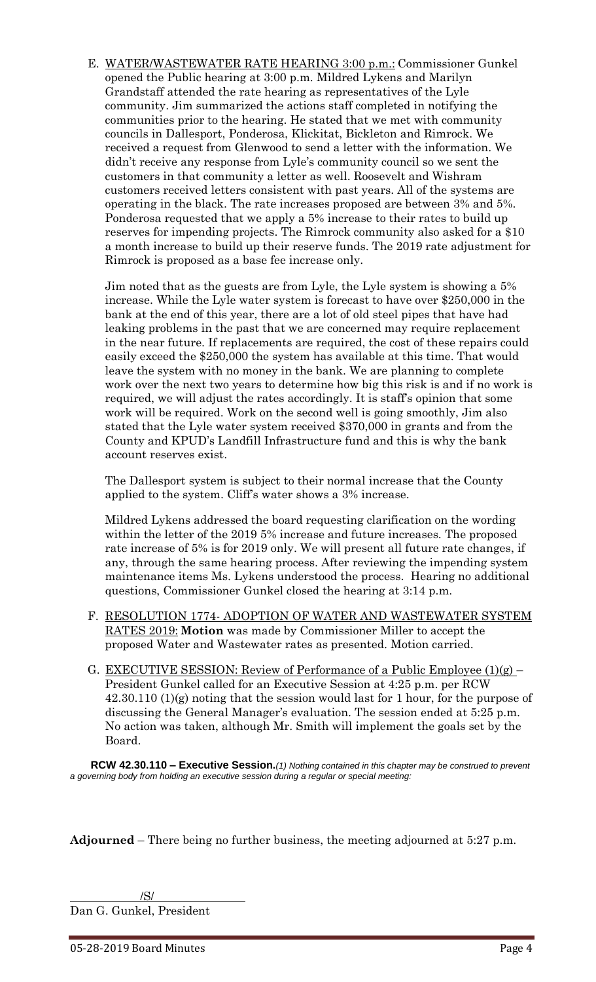E. WATER/WASTEWATER RATE HEARING 3:00 p.m.: Commissioner Gunkel opened the Public hearing at 3:00 p.m. Mildred Lykens and Marilyn Grandstaff attended the rate hearing as representatives of the Lyle community. Jim summarized the actions staff completed in notifying the communities prior to the hearing. He stated that we met with community councils in Dallesport, Ponderosa, Klickitat, Bickleton and Rimrock. We received a request from Glenwood to send a letter with the information. We didn't receive any response from Lyle's community council so we sent the customers in that community a letter as well. Roosevelt and Wishram customers received letters consistent with past years. All of the systems are operating in the black. The rate increases proposed are between 3% and 5%. Ponderosa requested that we apply a 5% increase to their rates to build up reserves for impending projects. The Rimrock community also asked for a \$10 a month increase to build up their reserve funds. The 2019 rate adjustment for Rimrock is proposed as a base fee increase only.

Jim noted that as the guests are from Lyle, the Lyle system is showing a 5% increase. While the Lyle water system is forecast to have over \$250,000 in the bank at the end of this year, there are a lot of old steel pipes that have had leaking problems in the past that we are concerned may require replacement in the near future. If replacements are required, the cost of these repairs could easily exceed the \$250,000 the system has available at this time. That would leave the system with no money in the bank. We are planning to complete work over the next two years to determine how big this risk is and if no work is required, we will adjust the rates accordingly. It is staff's opinion that some work will be required. Work on the second well is going smoothly, Jim also stated that the Lyle water system received \$370,000 in grants and from the County and KPUD's Landfill Infrastructure fund and this is why the bank account reserves exist.

The Dallesport system is subject to their normal increase that the County applied to the system. Cliff's water shows a 3% increase.

Mildred Lykens addressed the board requesting clarification on the wording within the letter of the 2019 5% increase and future increases. The proposed rate increase of 5% is for 2019 only. We will present all future rate changes, if any, through the same hearing process. After reviewing the impending system maintenance items Ms. Lykens understood the process. Hearing no additional questions, Commissioner Gunkel closed the hearing at 3:14 p.m.

- F. RESOLUTION 1774- ADOPTION OF WATER AND WASTEWATER SYSTEM RATES 2019: **Motion** was made by Commissioner Miller to accept the proposed Water and Wastewater rates as presented. Motion carried.
- G. <u>EXECUTIVE SESSION: Review of Performance of a Public Employee (1)(g)</u> President Gunkel called for an Executive Session at 4:25 p.m. per RCW 42.30.110 (1)(g) noting that the session would last for 1 hour, for the purpose of discussing the General Manager's evaluation. The session ended at 5:25 p.m. No action was taken, although Mr. Smith will implement the goals set by the Board.

**RCW 42.30.110 – Executive Session.***(1) Nothing contained in this chapter may be construed to prevent a governing body from holding an executive session during a regular or special meeting:*

**Adjourned** – There being no further business, the meeting adjourned at 5:27 p.m.

/S/ Dan G. Gunkel, President